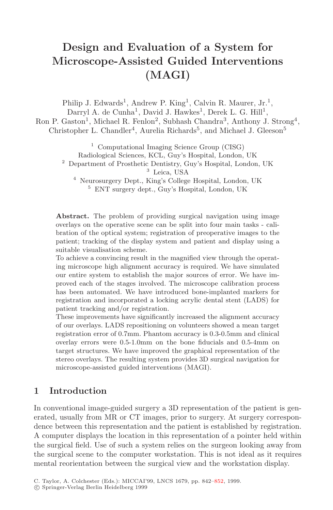# **Design and Evaluation of a System for Microscope-Assisted Guided Interventions (MAGI)**

Philip J. Edwards<sup>1</sup>, Andrew P. King<sup>1</sup>, Calvin R. Maurer, Jr.<sup>1</sup>,

Darryl A. de Cunha<sup>1</sup>, David J. Hawkes<sup>1</sup>, Derek L. G. Hill<sup>1</sup>,

Ron P. Gaston<sup>1</sup>, Michael R. Fenlon<sup>2</sup>, Subhash Chandra<sup>3</sup>, Anthony J. Strong<sup>4</sup>, Christopher L. Chandler<sup>4</sup>, Aurelia Richards<sup>5</sup>, and Michael J. Gleeson<sup>5</sup>

<sup>1</sup> Computational Imaging Science Group (CISG) Radiological Sciences, KCL, Guy's Hospital, London, UK <sup>2</sup> Department of Prosthetic Dentistry, Guy's Hospital, London, UK

<sup>3</sup> Leica, USA

<sup>4</sup> Neurosurgery Dept., King's College Hospital, London, UK <sup>5</sup> ENT surgery dept., Guy's Hospital, London, UK

Abstract. The problem of providing surgical navigation using image overlays on the operative scene can be split into four main tasks - calibration of the optical system; registration of preoperative images to the patient; tracking of the display system and patient and display using a suitable visualisation scheme.

To achieve a convincing result in the magnified view through the operating microscope high alignment accuracy is required. We have simulated our entire system to establish the major sources of error. We have improved each of the stages involved. The microscope calibration process has been automated. We have introduced bone-implanted markers for registration and incorporated a locking acrylic dental stent (LADS) for patient tracking and/or registration.

These improvements have significantly increased the alignment accuracy of our overlays. LADS repositioning on volunteers showed a mean target registration error of 0.7mm. Phantom accuracy is 0.3-0.5mm and clinical overlay errors were 0.5-1.0mm on the bone fiducials and 0.5-4mm on target structures. We have improved the graphical representation of the stereo overlays. The resulting system provides 3D surgical navigation for microscope-assisted guided interventions (MAGI).

# **1 Introduction**

In conventional image-guided surgery a 3D representation of the patient is generated, usually from MR or CT images, prior to surgery. At surgery correspondence between this representation and the patient is established by registration. A computer displays the location in this representation of a pointer held within the surgical field. Use of such a system relies on the surgeon looking away from the surgical scene to the computer workstation. This is not ideal as it requires mental reorientation between the surgical view and the workstation display.

c Springer-Verlag Berlin Heidelberg 1999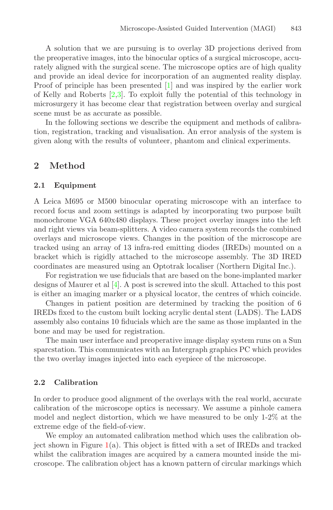A solution that we are pursuing is to overlay 3D projections derived from the preoperative images, into the binocular optics of a surgical microscope, accurately aligned with the surgical scene. The microscope optics are of high quality and provide an ideal device for incorporation of an augmented reality display. Proof of principle has been presented [1] and was inspired by the earlier work of Kelly and Roberts [2,3]. To exploit fully the potential of this technology in microsurgery it has become clear that registration between overlay and surgical scene must be as accurate as possible.

In the following sections we describe the equipment and methods of calibration, registration, tracking and visualisation. An error analysis of the system is given along with the results of volunteer, phantom and clinical experiments.

#### **2 Method**

#### **2.1 Equipment**

A Leica M695 or M500 binocular operating microscope with an interface to record focus and zoom settings is adapted by incorporating two purpose built monochrome VGA 640x480 displays. These project overlay images into the left and right views via beam-splitters. A video camera system records the combined overlays and microscope views. Changes in the position of the microscope are tracked using an array of 13 infra-red emitting diodes (IREDs) mounted on a bracket which is rigidly attached to the microscope assembly. The 3D IRED coordinates are measured using an Optotrak localiser (Northern Digital Inc.).

For registration we use fiducials that are based on the bone-implanted marker designs of Maurer et al  $[4]$ . A post is screwed into the skull. Attached to this post is either an imaging marker or a physical locator, the centres of which coincide.

Changes in patient position are determined by tracking the position of 6 IREDs fixed to the custom built locking acrylic dental stent (LADS). The LADS assembly also contains 10 fiducials which are the same as those implanted in the bone and may be used for registration.

The main user interface and preoperative image display system runs on a Sun sparcstation. This communicates with an Intergraph graphics PC which provides the two overlay images injected into each eyepiece of the microscope.

#### **2.2 Calibration**

In order to produce good alignment of the overlays with the real world, accurate calibration of the microscope optics is necessary. We assume a pinhole camera model and neglect distortion, which we have measured to be only 1-2% at the extreme edge of the field-of-view.

We employ an automated calibration method which uses the calibration object shown in Figure  $1(a)$ . This object is fitted with a set of IREDs and tracked whilst the calibration images are acquired by a camera mounted inside the microscope. The calibration object has a known pattern of circular markings which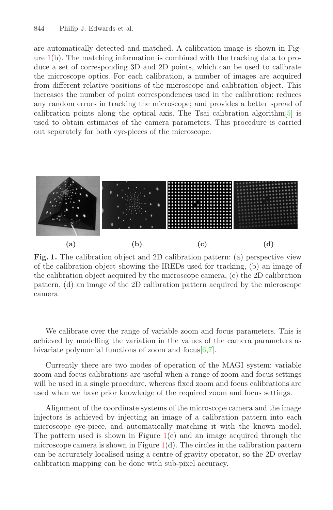are automatically detected and matched. A calibration image is shown in Figure  $1(b)$ . The matching information is combined with the tracking data to produce a set of corresponding 3D and 2D points, which can be used to calibrate the microscope optics. For each calibration, a number of images are acquired from different relative positions of the microscope and calibration object. This increases the number of point correspondences used in the calibration; reduces any random errors in tracking the microscope; and provides a better spread of calibration points along the optical axis. The Tsai calibration algorithm[5] is used to obtain estimates of the camera parameters. This procedure is carried out separately for both eye-pieces of the microscope.



**Fig. 1.** The calibration object and 2D calibration pattern: (a) perspective view of the calibration object showing the IREDs used for tracking, (b) an image of the calibration object acquired by the microscope camera, (c) the 2D calibration pattern, (d) an image of the 2D calibration pattern acquired by the microscope camera

We calibrate over the range of variable zoom and focus parameters. This is achieved by modelling the variation in the values of the camera parameters as bivariate polynomial functions of zoom and focus  $[6,7]$ .

Currently there are two modes of operation of the MAGI system: variable zoom and focus calibrations are useful when a range of zoom and focus settings will be used in a single procedure, whereas fixed zoom and focus calibrations are used when we have prior knowledge of the required zoom and focus settings.

Alignment of the coordinate systems of the microscope camera and the image injectors is achieved by injecting an image of a calibration pattern into each microscope eye-piece, and automatically matching it with the known model. The pattern used is shown in Figure  $1(c)$  and an image acquired through the microscope camera is shown in Figure  $1(d)$ . The circles in the calibration pattern can be accurately localised using a centre of gravity operator, so the 2D overlay calibration mapping can be done with sub-pixel accuracy.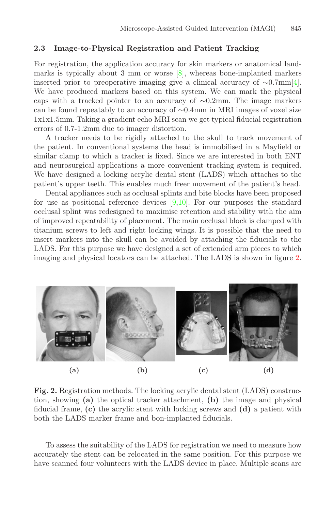#### **2.3 Image-to-Physical Registration and Patient Tracking**

For registration, the application accuracy for skin markers or anatomical landmarks is typically about 3 mm or worse [8], whereas bone-implanted markers inserted prior to preoperative imaging give a clinical accuracy of ∼0.7mm[4]. We have produced markers based on this system. We can mark the physical caps with a tracked pointer to an accuracy of  $\sim 0.2$ mm. The image markers can be found repeatably to an accuracy of ∼0.4mm in MRI images of voxel size 1x1x1.5mm. Taking a gradient echo MRI scan we get typical fiducial registration errors of 0.7-1.2mm due to imager distortion.

A tracker needs to be rigidly attached to the skull to track movement of the patient. In conventional systems the head is immobilised in a Mayfield or similar clamp to which a tracker is fixed. Since we are interested in both ENT and neurosurgical applications a more convenient tracking system is required. We have designed a locking acrylic dental stent (LADS) which attaches to the patient's upper teeth. This enables much freer movement of the patient's head.

Dental appliances such as occlusal splints and bite blocks have been proposed for use as positional reference devices  $[9,10]$ . For our purposes the standard occlusal splint was redesigned to maximise retention and stability with the aim of improved repeatability of placement. The main occlusal block is clamped with titanium screws to left and right locking wings. It is possible that the need to insert markers into the skull can be avoided by attaching the fiducials to the LADS. For this purpose we have designed a set of extended arm pieces to which imaging and physical locators can be attached. The LADS is shown in figure 2.



**Fig. 2.** Registration methods. The locking acrylic dental stent (LADS) construction, showing **(a)** the optical tracker attachment, **(b)** the image and physical fiducial frame,  $(c)$  the acrylic stent with locking screws and  $(d)$  a patient with both the LADS marker frame and bon-implanted fiducials.

To assess the suitability of the LADS for registration we need to measure how accurately the stent can be relocated in the same position. For this purpose we have scanned four volunteers with the LADS device in place. Multiple scans are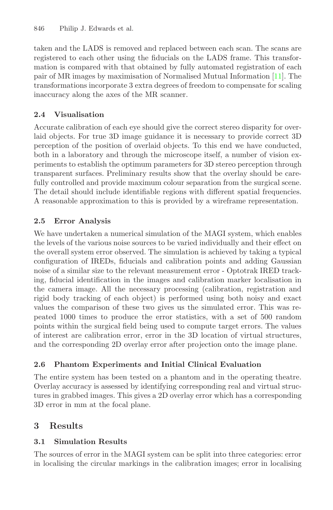taken and the LADS is removed and replaced between each scan. The scans are registered to each other using the fiducials on the LADS frame. This transformation is compared with that obtained by fully automated registration of each pair of MR images by maximisation of Normalised Mutual Information [11]. The transformations incorporate 3 extra degrees of freedom to compensate for scaling inaccuracy along the axes of the MR scanner.

# **2.4 Visualisation**

Accurate calibration of each eye should give the correct stereo disparity for overlaid objects. For true 3D image guidance it is necessary to provide correct 3D perception of the position of overlaid objects. To this end we have conducted, both in a laboratory and through the microscope itself, a number of vision experiments to establish the optimum parameters for 3D stereo perception through transparent surfaces. Preliminary results show that the overlay should be carefully controlled and provide maximum colour separation from the surgical scene. The detail should include identifiable regions with different spatial frequencies. A reasonable approximation to this is provided by a wireframe representation.

# **2.5 Error Analysis**

We have undertaken a numerical simulation of the MAGI system, which enables the levels of the various noise sources to be varied individually and their effect on the overall system error observed. The simulation is achieved by taking a typical configuration of IREDs, fiducials and calibration points and adding Gaussian noise of a similar size to the relevant measurement error - Optotrak IRED tracking, fiducial identification in the images and calibration marker localisation in the camera image. All the necessary processing (calibration, registration and rigid body tracking of each object) is performed using both noisy and exact values the comparison of these two gives us the simulated error. This was repeated 1000 times to produce the error statistics, with a set of 500 random points within the surgical field being used to compute target errors. The values of interest are calibration error, error in the 3D location of virtual structures, and the corresponding 2D overlay error after projection onto the image plane.

# **2.6 Phantom Experiments and Initial Clinical Evaluation**

The entire system has been tested on a phantom and in the operating theatre. Overlay accuracy is assessed by identifying corresponding real and virtual structures in grabbed images. This gives a 2D overlay error which has a corresponding 3D error in mm at the focal plane.

# **3 Results**

# **3.1 Simulation Results**

The sources of error in the MAGI system can be split into three categories: error in localising the circular markings in the calibration images; error in localising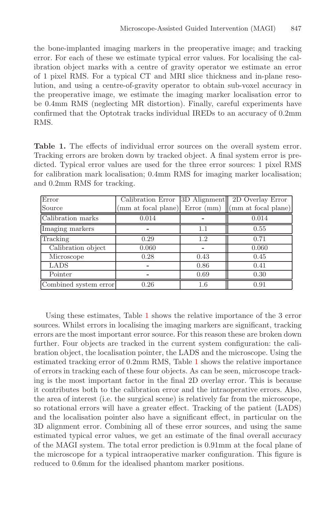the bone-implanted imaging markers in the preoperative image; and tracking error. For each of these we estimate typical error values. For localising the calibration object marks with a centre of gravity operator we estimate an error of 1 pixel RMS. For a typical CT and MRI slice thickness and in-plane resolution, and using a centre-of-gravity operator to obtain sub-voxel accuracy in the preoperative image, we estimate the imaging marker localisation error to be 0.4mm RMS (neglecting MR distortion). Finally, careful experiments have confirmed that the Optotrak tracks individual IREDs to an accuracy of 0.2mm RMS.

**Table 1.** The effects of individual error sources on the overall system error. Tracking errors are broken down by tracked object. A final system error is predicted. Typical error values are used for the three error sources: 1 pixel RMS for calibration mark localisation; 0.4mm RMS for imaging marker localisation; and 0.2mm RMS for tracking.

| Error                 |       |      | Calibration Error 3D Alignment 2D Overlay Error                                                                   |
|-----------------------|-------|------|-------------------------------------------------------------------------------------------------------------------|
| Source                |       |      | $\lceil \text{mm at focal plane} \rceil$ Error $\lceil \text{mm} \rceil$ $\lceil \text{mm at focal plane} \rceil$ |
| Calibration marks     | 0.014 |      | 0.014                                                                                                             |
| Imaging markers       |       | 1.1  | 0.55                                                                                                              |
| Tracking              | 0.29  | 1.2  | 0.71                                                                                                              |
| Calibration object    | 0.060 |      | 0.060                                                                                                             |
| Microscope            | 0.28  | 0.43 | 0.45                                                                                                              |
| LADS                  |       | 0.86 | 0.41                                                                                                              |
| Pointer               |       | 0.69 | 0.30                                                                                                              |
| Combined system error | 0.26  | 1.6  | 0.91                                                                                                              |

Using these estimates, Table 1 shows the relative importance of the 3 error sources. Whilst errors in localising the imaging markers are significant, tracking errors are the most important error source. For this reason these are broken down further. Four objects are tracked in the current system configuration: the calibration object, the localisation pointer, the LADS and the microscope. Using the estimated tracking error of 0.2mm RMS, Table 1 shows the relative importance of errors in tracking each of these four objects. As can be seen, microscope tracking is the most important factor in the final 2D overlay error. This is because it contributes both to the calibration error and the intraoperative errors. Also, the area of interest (i.e. the surgical scene) is relatively far from the microscope, so rotational errors will have a greater effect. Tracking of the patient (LADS) and the localisation pointer also have a significant effect, in particular on the 3D alignment error. Combining all of these error sources, and using the same estimated typical error values, we get an estimate of the final overall accuracy of the MAGI system. The total error prediction is 0.91mm at the focal plane of the microscope for a typical intraoperative marker configuration. This figure is reduced to 0.6mm for the idealised phantom marker positions.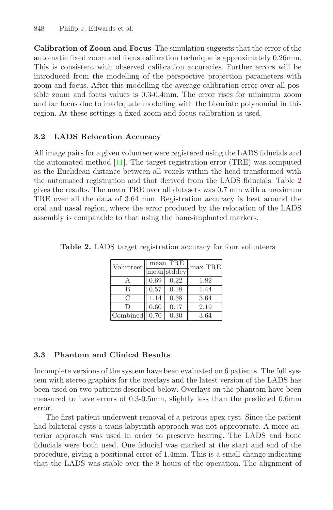**Calibration of Zoom and Focus** The simulation suggests that the error of the automatic fixed zoom and focus calibration technique is approximately 0.26mm. This is consistent with observed calibration accuracies. Further errors will be introduced from the modelling of the perspective projection parameters with zoom and focus. After this modelling the average calibration error over all possible zoom and focus values is 0.3-0.4mm. The error rises for minimum zoom and far focus due to inadequate modelling with the bivariate polynomial in this region. At these settings a fixed zoom and focus calibration is used.

### **3.2 LADS Relocation Accuracy**

All image pairs for a given volunteer were registered using the LADS fiducials and the automated method [11]. The target registration error (TRE) was computed as the Euclidean distance between all voxels within the head transformed with the automated registration and that derived from the LADS fiducials. Table 2 gives the results. The mean TRE over all datasets was 0.7 mm with a maximum TRE over all the data of 3.64 mm. Registration accuracy is best around the oral and nasal region, where the error produced by the relocation of the LADS assembly is comparable to that using the bone-implanted markers.

| <b>Volunteer</b> | mean TRE |             | max TRE |
|------------------|----------|-------------|---------|
|                  |          | mean stddev |         |
|                  | 0.69     | 0.22        | 1.82    |
| B                | 0.57     | 0.18        | 1.44    |
| C                | 1.14     | 0.38        | 3.64    |
| Đ                | 0.60     | 0.17        | 2.19    |
| Combined         | 0.70     | 0.30        | 3.64    |

**Table 2.** LADS target registration accuracy for four volunteers

### **3.3 Phantom and Clinical Results**

Incomplete versions of the system have been evaluated on 6 patients. The full system with stereo graphics for the overlays and the latest version of the LADS has been used on two patients described below. Overlays on the phantom have been measured to have errors of 0.3-0.5mm, slightly less than the predicted 0.6mm error.

The first patient underwent removal of a petrous apex cyst. Since the patient had bilateral cysts a trans-labyrinth approach was not appropriate. A more anterior approach was used in order to preserve hearing. The LADS and bone fiducials were both used. One fiducial was marked at the start and end of the procedure, giving a positional error of 1.4mm. This is a small change indicating that the LADS was stable over the 8 hours of the operation. The alignment of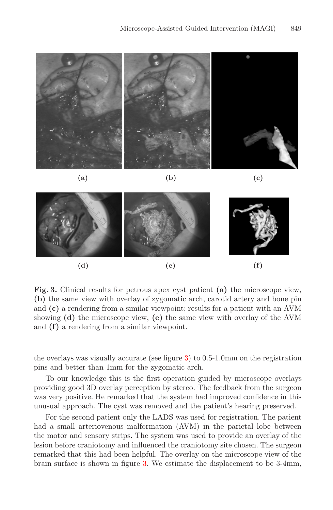

**Fig. 3.** Clinical results for petrous apex cyst patient **(a)** the microscope view, **(b)** the same view with overlay of zygomatic arch, carotid artery and bone pin and **(c)** a rendering from a similar viewpoint; results for a patient with an AVM showing **(d)** the microscope view, **(e)** the same view with overlay of the AVM and **(f)** a rendering from a similar viewpoint.

the overlays was visually accurate (see figure 3) to 0.5-1.0mm on the registration pins and better than 1mm for the zygomatic arch.

To our knowledge this is the first operation guided by microscope overlays providing good 3D overlay perception by stereo. The feedback from the surgeon was very positive. He remarked that the system had improved confidence in this unusual approach. The cyst was removed and the patient's hearing preserved.

For the second patient only the LADS was used for registration. The patient had a small arteriovenous malformation (AVM) in the parietal lobe between the motor and sensory strips. The system was used to provide an overlay of the lesion before craniotomy and influenced the craniotomy site chosen. The surgeon remarked that this had been helpful. The overlay on the microscope view of the brain surface is shown in figure 3. We estimate the displacement to be 3-4mm,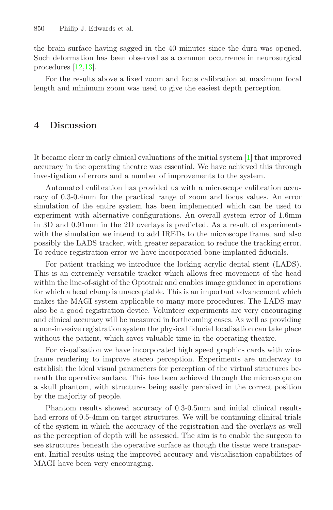the brain surface having sagged in the 40 minutes since the dura was opened. Such deformation has been observed as a common occurrence in neurosurgical procedures [12,13].

For the results above a fixed zoom and focus calibration at maximum focal length and minimum zoom was used to give the easiest depth perception.

### **4 Discussion**

It became clear in early clinical evaluations of the initial system [1] that improved accuracy in the operating theatre was essential. We have achieved this through investigation of errors and a number of improvements to the system.

Automated calibration has provided us with a microscope calibration accuracy of 0.3-0.4mm for the practical range of zoom and focus values. An error simulation of the entire system has been implemented which can be used to experiment with alternative configurations. An overall system error of 1.6mm in 3D and 0.91mm in the 2D overlays is predicted. As a result of experiments with the simulation we intend to add IREDs to the microscope frame, and also possibly the LADS tracker, with greater separation to reduce the tracking error. To reduce registration error we have incorporated bone-implanted fiducials.

For patient tracking we introduce the locking acrylic dental stent (LADS). This is an extremely versatile tracker which allows free movement of the head within the line-of-sight of the Optotrak and enables image guidance in operations for which a head clamp is unacceptable. This is an important advancement which makes the MAGI system applicable to many more procedures. The LADS may also be a good registration device. Volunteer experiments are very encouraging and clinical accuracy will be measured in forthcoming cases. As well as providing a non-invasive registration system the physical fiducial localisation can take place without the patient, which saves valuable time in the operating theatre.

For visualisation we have incorporated high speed graphics cards with wireframe rendering to improve stereo perception. Experiments are underway to establish the ideal visual parameters for perception of the virtual structures beneath the operative surface. This has been achieved through the microscope on a skull phantom, with structures being easily perceived in the correct position by the majority of people.

Phantom results showed accuracy of 0.3-0.5mm and initial clinical results had errors of 0.5-4mm on target structures. We will be continuing clinical trials of the system in which the accuracy of the registration and the overlays as well as the perception of depth will be assessed. The aim is to enable the surgeon to see structures beneath the operative surface as though the tissue were transparent. Initial results using the improved accuracy and visualisation capabilities of MAGI have been very encouraging.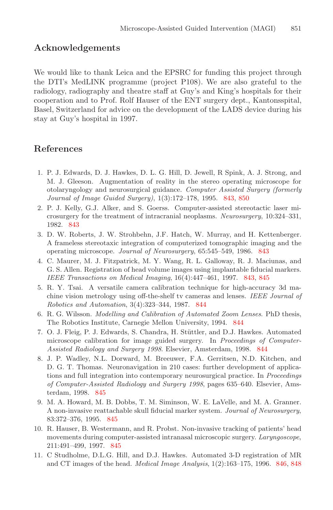### **Acknowledgements**

We would like to thank Leica and the EPSRC for funding this project through the DTI's MedLINK programme (project P108). We are also grateful to the radiology, radiography and theatre staff at Guy's and King's hospitals for their cooperation and to Prof. Rolf Hauser of the ENT surgery dept., Kantonsspital, Basel, Switzerland for advice on the development of the LADS device during his stay at Guy's hospital in 1997.

### **References**

- 1. P. J. Edwards, D. J. Hawkes, D. L. G. Hill, D. Jewell, R Spink, A. J. Strong, and M. J. Gleeson. Augmentation of reality in the stereo operating microscope for otolaryngology and neurosurgical guidance. *Computer Assisted Surgery (formerly Journal of Image Guided Surgery)*, 1(3):172–178, 1995. 843, 850
- 2. P. J. Kelly, G.J. Alker, and S. Goerss. Computer-assisted stereotactic laser microsurgery for the treatment of intracranial neoplasms. *Neurosurgery*, 10:324–331, 1982. 843
- 3. D. W. Roberts, J. W. Strohbehn, J.F. Hatch, W. Murray, and H. Kettenberger. A frameless stereotaxic integration of computerized tomographic imaging and the operating microscope. *Journal of Neurosurgery*, 65:545–549, 1986. 843
- 4. C. Maurer, M. J. Fitzpatrick, M. Y. Wang, R. L. Galloway, R. J. Maciunas, and G. S. Allen. Registration of head volume images using implantable fiducial markers. *IEEE Transactions on Medical Imaging*, 16(4):447–461, 1997. 843, 845
- 5. R. Y. Tsai. A versatile camera calibration technique for high-accuracy 3d machine vision metrology using off-the-shelf tv cameras and lenses. *IEEE Journal of Robotics and Automation*, 3(4):323–344, 1987. 844
- 6. R. G. Wilsson. *Modelling and Calibration of Automated Zoom Lenses*. PhD thesis, The Robotics Institute, Carnegie Mellon University, 1994. 844
- 7. O. J. Fleig, P. J. Edwards, S. Chandra, H. Stüttler, and D.J. Hawkes. Automated microscope calibration for image guided surgery. In *Proceedings of Computer-Assisted Radiology and Surgery 1998*. Elsevier, Amsterdam, 1998. 844
- 8. J. P. Wadley, N.L. Dorward, M. Breeuwer, F.A. Gerritsen, N.D. Kitchen, and D. G. T. Thomas. Neuronavigation in 210 cases: further development of applications and full integration into contemporary neurosurgical practice. In *Proceedings of Computer-Assisted Radiology and Surgery 1998*, pages 635–640. Elsevier, Amsterdam, 1998. 845
- 9. M. A. Howard, M. B. Dobbs, T. M. Siminson, W. E. LaVelle, and M. A. Granner. A non-invasive reattachable skull fiducial marker system. *Journal of Neurosurgery*, 83:372–376, 1995. 845
- 10. R. Hauser, B. Westermann, and R. Probst. Non-invasive tracking of patients' head movements during computer-assisted intranasal microscopic surgery. *Laryngoscope*, 211:491–499, 1997. 845
- 11. C Studholme, D.L.G. Hill, and D.J. Hawkes. Automated 3-D registration of MR and CT images of the head. *Medical Image Analysis*, 1(2):163–175, 1996. 846, 848